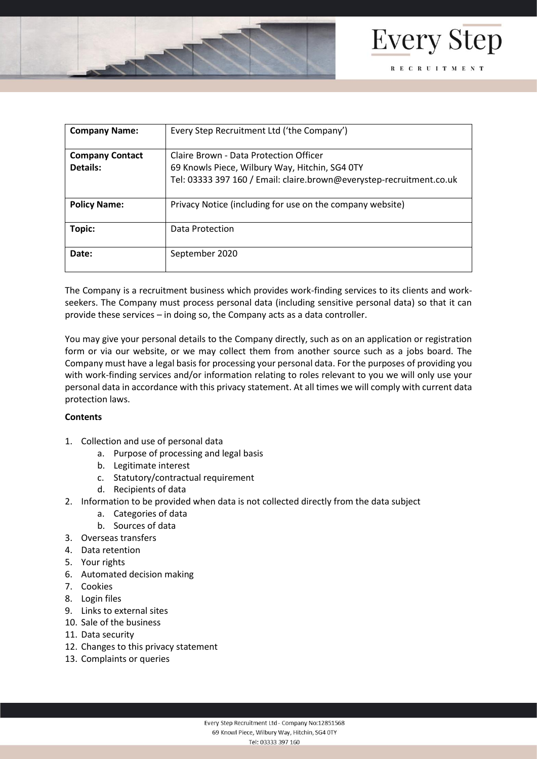



| <b>Company Name:</b>   | Every Step Recruitment Ltd ('the Company')                           |
|------------------------|----------------------------------------------------------------------|
| <b>Company Contact</b> | Claire Brown - Data Protection Officer                               |
| Details:               | 69 Knowls Piece, Wilbury Way, Hitchin, SG4 0TY                       |
|                        | Tel: 03333 397 160 / Email: claire.brown@everystep-recruitment.co.uk |
| <b>Policy Name:</b>    | Privacy Notice (including for use on the company website)            |
| Topic:                 | Data Protection                                                      |
| Date:                  | September 2020                                                       |

The Company is a recruitment business which provides work-finding services to its clients and workseekers. The Company must process personal data (including sensitive personal data) so that it can provide these services – in doing so, the Company acts as a data controller.

You may give your personal details to the Company directly, such as on an application or registration form or via our website, or we may collect them from another source such as a jobs board. The Company must have a legal basis for processing your personal data. For the purposes of providing you with work-finding services and/or information relating to roles relevant to you we will only use your personal data in accordance with this privacy statement. At all times we will comply with current data protection laws.

### **Contents**

- 1. Collection and use of personal data
	- a. Purpose of processing and legal basis
	- b. Legitimate interest
	- c. Statutory/contractual requirement
	- d. Recipients of data
- 2. Information to be provided when data is not collected directly from the data subject
	- a. Categories of data
	- b. Sources of data
- 3. Overseas transfers
- 4. Data retention
- 5. Your rights
- 6. Automated decision making
- 7. Cookies
- 8. Login files
- 9. Links to external sites
- 10. Sale of the business
- 11. Data security
- 12. Changes to this privacy statement
- 13. Complaints or queries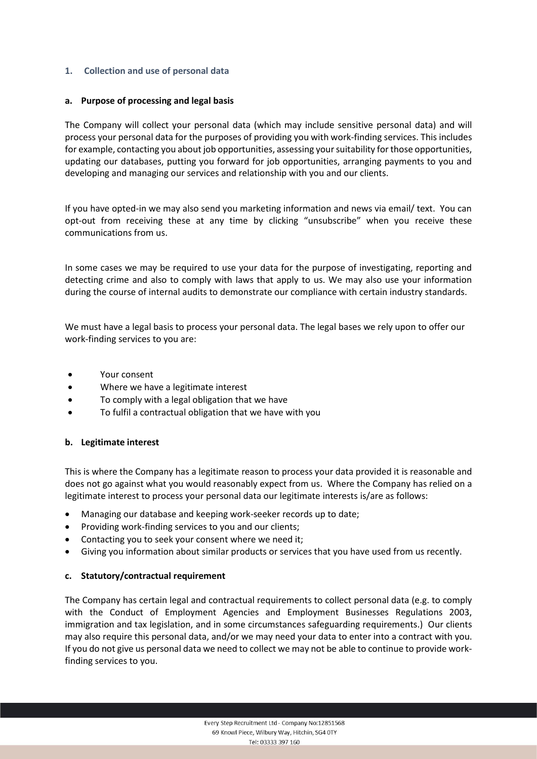## **1. Collection and use of personal data**

### **a. Purpose of processing and legal basis**

The Company will collect your personal data (which may include sensitive personal data) and will process your personal data for the purposes of providing you with work-finding services. This includes for example, contacting you about job opportunities, assessing your suitability for those opportunities, updating our databases, putting you forward for job opportunities, arranging payments to you and developing and managing our services and relationship with you and our clients.

If you have opted-in we may also send you marketing information and news via email/ text. You can opt-out from receiving these at any time by clicking "unsubscribe" when you receive these communications from us.

In some cases we may be required to use your data for the purpose of investigating, reporting and detecting crime and also to comply with laws that apply to us. We may also use your information during the course of internal audits to demonstrate our compliance with certain industry standards.

We must have a legal basis to process your personal data. The legal bases we rely upon to offer our work-finding services to you are:

- Your consent
- Where we have a legitimate interest
- To comply with a legal obligation that we have
- To fulfil a contractual obligation that we have with you

# **b. Legitimate interest**

This is where the Company has a legitimate reason to process your data provided it is reasonable and does not go against what you would reasonably expect from us. Where the Company has relied on a legitimate interest to process your personal data our legitimate interests is/are as follows:

- Managing our database and keeping work-seeker records up to date;
- Providing work-finding services to you and our clients;
- Contacting you to seek your consent where we need it;
- Giving you information about similar products or services that you have used from us recently.

### **c. Statutory/contractual requirement**

The Company has certain legal and contractual requirements to collect personal data (e.g. to comply with the Conduct of Employment Agencies and Employment Businesses Regulations 2003, immigration and tax legislation, and in some circumstances safeguarding requirements.) Our clients may also require this personal data, and/or we may need your data to enter into a contract with you. If you do not give us personal data we need to collect we may not be able to continue to provide workfinding services to you.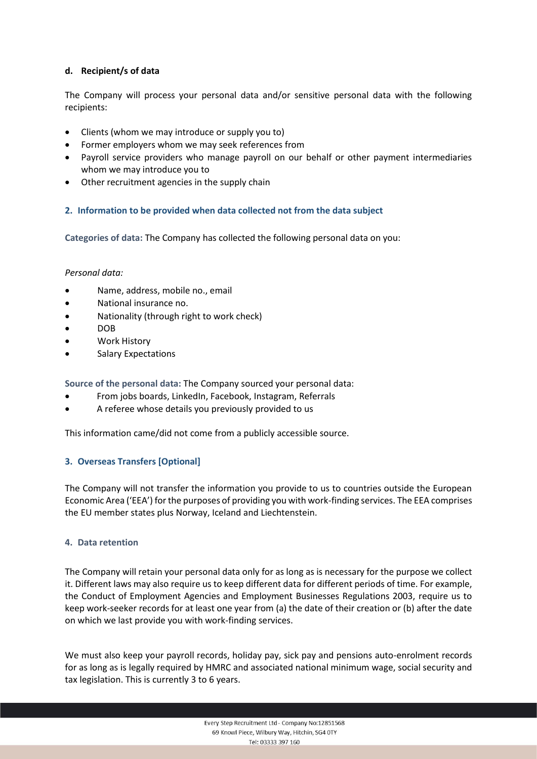## **d. Recipient/s of data**

The Company will process your personal data and/or sensitive personal data with the following recipients:

- Clients (whom we may introduce or supply you to)
- Former employers whom we may seek references from
- Payroll service providers who manage payroll on our behalf or other payment intermediaries whom we may introduce you to
- Other recruitment agencies in the supply chain

### **2. Information to be provided when data collected not from the data subject**

**Categories of data:** The Company has collected the following personal data on you:

### *Personal data:*

- Name, address, mobile no., email
- National insurance no.
- Nationality (through right to work check)
- DOB
- Work History
- Salary Expectations

**Source of the personal data:** The Company sourced your personal data:

- From jobs boards, LinkedIn, Facebook, Instagram, Referrals
- A referee whose details you previously provided to us

This information came/did not come from a publicly accessible source.

# **3. Overseas Transfers [Optional]**

The Company will not transfer the information you provide to us to countries outside the European Economic Area ('EEA') for the purposes of providing you with work-finding services. The EEA comprises the EU member states plus Norway, Iceland and Liechtenstein.

### **4. Data retention**

The Company will retain your personal data only for as long as is necessary for the purpose we collect it. Different laws may also require us to keep different data for different periods of time. For example, the Conduct of Employment Agencies and Employment Businesses Regulations 2003, require us to keep work-seeker records for at least one year from (a) the date of their creation or (b) after the date on which we last provide you with work-finding services.

We must also keep your payroll records, holiday pay, sick pay and pensions auto-enrolment records for as long as is legally required by HMRC and associated national minimum wage, social security and tax legislation. This is currently 3 to 6 years.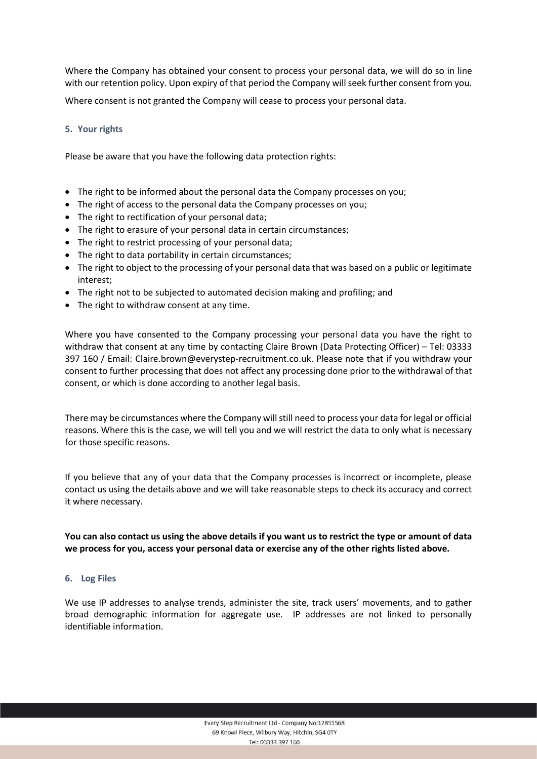Where the Company has obtained your consent to process your personal data, we will do so in line with our retention policy. Upon expiry of that period the Company will seek further consent from you.

Where consent is not granted the Company will cease to process your personal data.

## **5. Your rights**

Please be aware that you have the following data protection rights:

- The right to be informed about the personal data the Company processes on you;
- The right of access to the personal data the Company processes on you;
- The right to rectification of your personal data;
- The right to erasure of your personal data in certain circumstances;
- The right to restrict processing of your personal data;
- The right to data portability in certain circumstances;
- The right to object to the processing of your personal data that was based on a public or legitimate interest;
- The right not to be subjected to automated decision making and profiling; and
- The right to withdraw consent at any time.

Where you have consented to the Company processing your personal data you have the right to withdraw that consent at any time by contacting Claire Brown (Data Protecting Officer) – Tel: 03333 397 160 / Email: [Claire.brown@everystep-recruitment.co.uk.](mailto:Claire.brown@everystep-recruitment.co.uk) Please note that if you withdraw your consent to further processing that does not affect any processing done prior to the withdrawal of that consent, or which is done according to another legal basis.

There may be circumstances where the Company will still need to process your data for legal or official reasons. Where this is the case, we will tell you and we will restrict the data to only what is necessary for those specific reasons.

If you believe that any of your data that the Company processes is incorrect or incomplete, please contact us using the details above and we will take reasonable steps to check its accuracy and correct it where necessary.

**You can also contact us using the above details if you want us to restrict the type or amount of data we process for you, access your personal data or exercise any of the other rights listed above.**

### **6. Log Files**

We use IP addresses to analyse trends, administer the site, track users' movements, and to gather broad demographic information for aggregate use. IP addresses are not linked to personally identifiable information.